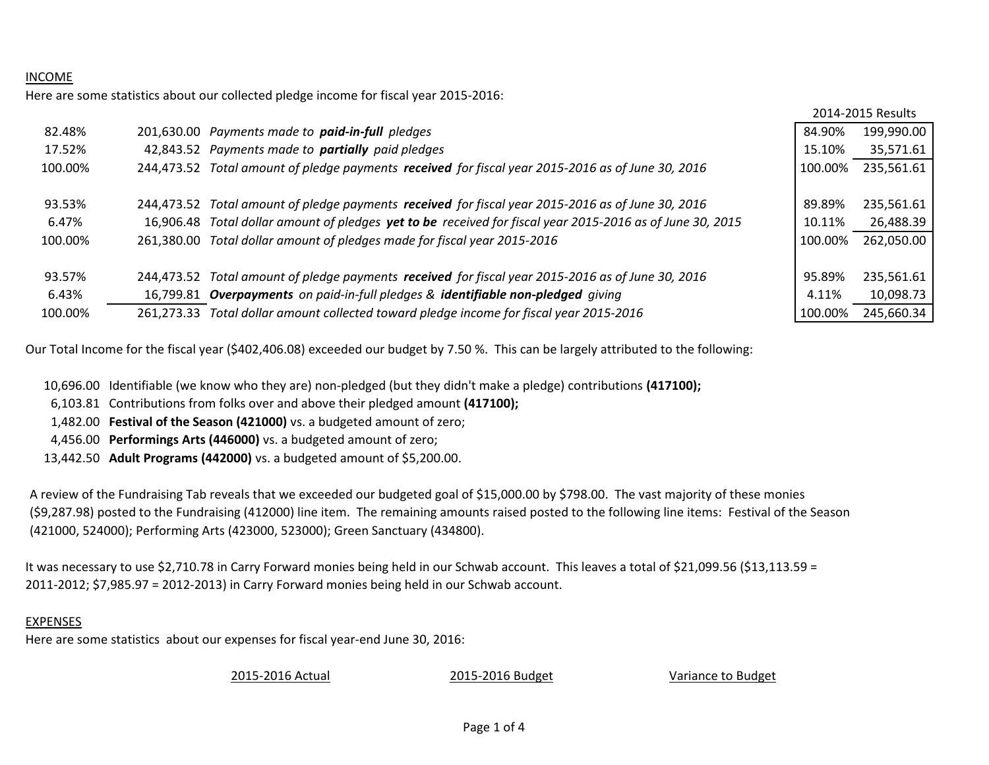## INCOME

Here are some statistics about our collected pledge income for fiscal year 2015-2016:

|         |            |                                                                                                           |         | 2014-2015 Results |
|---------|------------|-----------------------------------------------------------------------------------------------------------|---------|-------------------|
| 82.48%  |            | 201,630.00 Payments made to paid-in-full pledges                                                          | 84.90%  | 199,990.00        |
| 17.52%  |            | 42,843.52 Payments made to partially paid pledges                                                         | 15.10%  | 35,571.61         |
| 100.00% | 244.473.52 | Total amount of pledge payments received for fiscal year 2015-2016 as of June 30, 2016                    | 100.00% | 235,561.61        |
|         |            |                                                                                                           |         |                   |
| 93.53%  |            | 244,473.52 Total amount of pledge payments received for fiscal year 2015-2016 as of June 30, 2016         | 89.89%  | 235,561.61        |
| 6.47%   |            | 16,906.48 Total dollar amount of pledges yet to be received for fiscal year 2015-2016 as of June 30, 2015 | 10.11%  | 26,488.39         |
| 100.00% | 261.380.00 | Total dollar amount of pledges made for fiscal year 2015-2016                                             | 100.00% | 262,050.00        |
|         |            |                                                                                                           |         |                   |
| 93.57%  |            | 244,473.52 Total amount of pledge payments received for fiscal year 2015-2016 as of June 30, 2016         | 95.89%  | 235,561.61        |
| 6.43%   |            | 16,799.81 Overpayments on paid-in-full pledges & identifiable non-pledged giving                          | 4.11%   | 10,098.73         |
| 100.00% | 261.273.33 | Total dollar amount collected toward pledge income for fiscal year 2015-2016                              | 100.00% | 245,660.34        |

Our Total Income for the fiscal year (\$402,406.08) exceeded our budget by 7.50 %. This can be largely attributed to the following:

10,696.00 Identifiable (we know who they are) non-pledged (but they didn't make a pledge) contributions **(417100);**

6,103.81 Contributions from folks over and above their pledged amount **(417100);**

1,482.00 **Festival of the Season (421000)** vs. a budgeted amount of zero;

4,456.00 **Performings Arts (446000)** vs. a budgeted amount of zero;

13,442.50 **Adult Programs (442000)** vs. a budgeted amount of \$5,200.00.

A review of the Fundraising Tab reveals that we exceeded our budgeted goal of \$15,000.00 by \$798.00. The vast majority of these monies (\$9,287.98) posted to the Fundraising (412000) line item. The remaining amounts raised posted to the following line items: Festival of the Season (421000, 524000); Performing Arts (423000, 523000); Green Sanctuary (434800).

It was necessary to use \$2,710.78 in Carry Forward monies being held in our Schwab account. This leaves a total of \$21,099.56 (\$13,113.59 = 2011-2012; \$7,985.97 = 2012-2013) in Carry Forward monies being held in our Schwab account.

## EXPENSES

Here are some statistics about our expenses for fiscal year-end June 30, 2016:

2015-2016 Actual 2015-2016 Budget Variance to Budget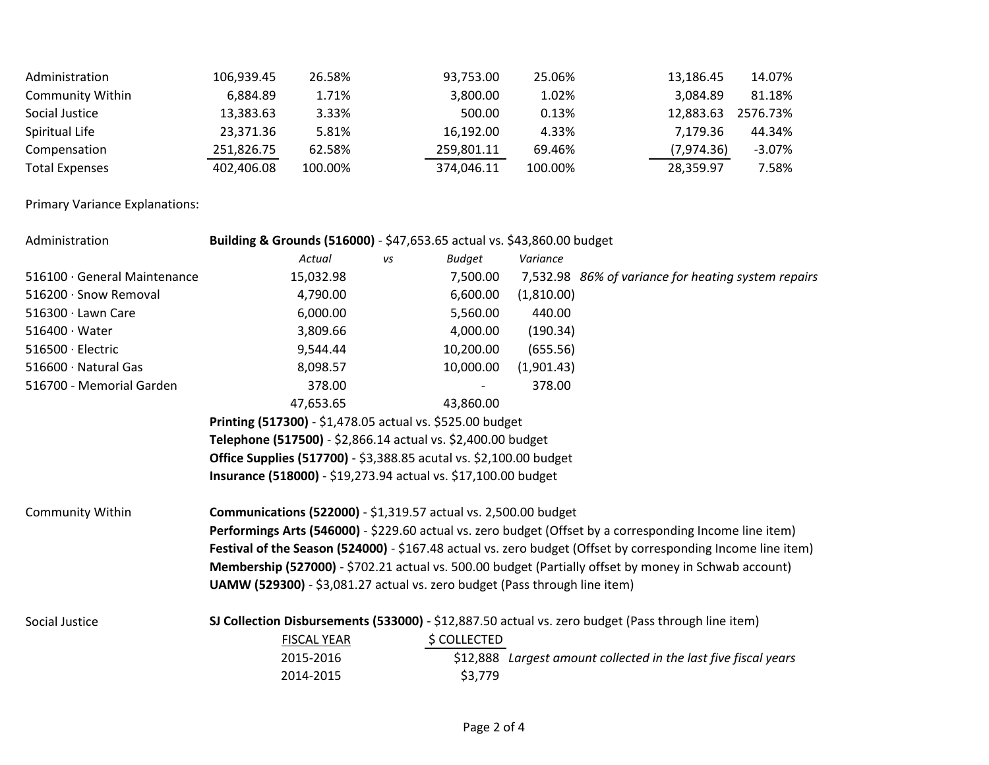| Administration          | 106,939.45 | 26.58%  | 93,753.00  | 25.06%  | 13,186.45  | 14.07%    |
|-------------------------|------------|---------|------------|---------|------------|-----------|
| <b>Community Within</b> | 6.884.89   | 1.71%   | 3.800.00   | 1.02%   | 3,084.89   | 81.18%    |
| Social Justice          | 13,383.63  | 3.33%   | 500.00     | 0.13%   | 12,883.63  | 2576.73%  |
| Spiritual Life          | 23,371.36  | 5.81%   | 16,192.00  | 4.33%   | 7.179.36   | 44.34%    |
| Compensation            | 251,826.75 | 62.58%  | 259,801.11 | 69.46%  | (7,974.36) | $-3.07\%$ |
| <b>Total Expenses</b>   | 402,406.08 | 100.00% | 374,046.11 | 100.00% | 28,359.97  | 7.58%     |

Primary Variance Explanations:

| Administration               | Building & Grounds (516000) - \$47,653.65 actual vs. \$43,860.00 budget    |    |               |            |                                                                                                              |
|------------------------------|----------------------------------------------------------------------------|----|---------------|------------|--------------------------------------------------------------------------------------------------------------|
|                              | Actual                                                                     | vs | <b>Budget</b> | Variance   |                                                                                                              |
| 516100 · General Maintenance | 15,032.98                                                                  |    | 7,500.00      |            | 7,532.98 86% of variance for heating system repairs                                                          |
| 516200 · Snow Removal        | 4,790.00                                                                   |    | 6,600.00      | (1,810.00) |                                                                                                              |
| $516300 \cdot$ Lawn Care     | 6,000.00                                                                   |    | 5,560.00      | 440.00     |                                                                                                              |
| $516400 \cdot Water$         | 3,809.66                                                                   |    | 4,000.00      | (190.34)   |                                                                                                              |
| 516500 · Electric            | 9,544.44                                                                   |    | 10,200.00     | (655.56)   |                                                                                                              |
| 516600 · Natural Gas         | 8,098.57                                                                   |    | 10,000.00     | (1,901.43) |                                                                                                              |
| 516700 - Memorial Garden     | 378.00                                                                     |    |               | 378.00     |                                                                                                              |
|                              | 47,653.65                                                                  |    | 43,860.00     |            |                                                                                                              |
|                              | Printing (517300) - \$1,478.05 actual vs. \$525.00 budget                  |    |               |            |                                                                                                              |
|                              | Telephone (517500) - \$2,866.14 actual vs. \$2,400.00 budget               |    |               |            |                                                                                                              |
|                              | <b>Office Supplies (517700)</b> - \$3,388.85 acutal vs. \$2,100.00 budget  |    |               |            |                                                                                                              |
|                              | Insurance (518000) - \$19,273.94 actual vs. \$17,100.00 budget             |    |               |            |                                                                                                              |
| Community Within             | <b>Communications (522000)</b> - \$1,319.57 actual vs. 2,500.00 budget     |    |               |            |                                                                                                              |
|                              |                                                                            |    |               |            | Performings Arts (546000) - \$229.60 actual vs. zero budget (Offset by a corresponding Income line item)     |
|                              |                                                                            |    |               |            | Festival of the Season (524000) - \$167.48 actual vs. zero budget (Offset by corresponding Income line item) |
|                              |                                                                            |    |               |            | Membership (527000) - \$702.21 actual vs. 500.00 budget (Partially offset by money in Schwab account)        |
|                              | UAMW (529300) - \$3,081.27 actual vs. zero budget (Pass through line item) |    |               |            |                                                                                                              |
| Social Justice               |                                                                            |    |               |            | SJ Collection Disbursements (533000) - \$12,887.50 actual vs. zero budget (Pass through line item)           |
|                              | <b>FISCAL YEAR</b>                                                         |    | \$ COLLECTED  |            |                                                                                                              |
|                              | 2015-2016                                                                  |    |               |            | \$12,888 Largest amount collected in the last five fiscal years                                              |
|                              | 2014-2015                                                                  |    | \$3,779       |            |                                                                                                              |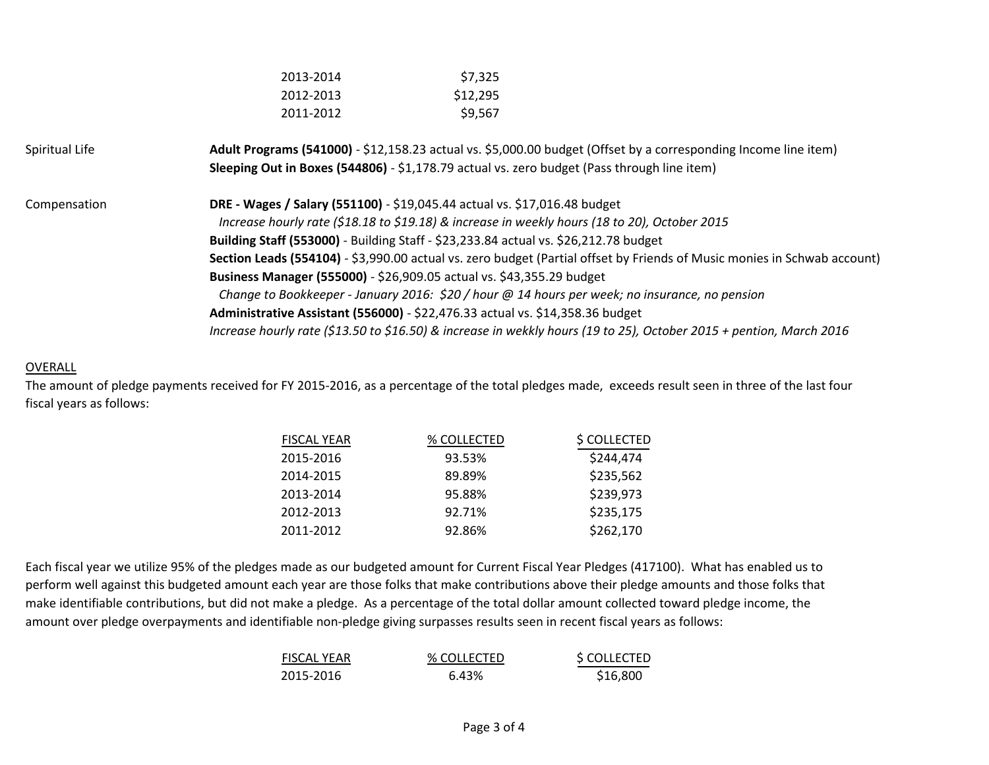| 2013-2014 | \$7,325  |                                                                                                                                                                                                                                                                                                                                                                                                                                                                                                                                                                                                                                                                                                                                                                                                                                                                         |
|-----------|----------|-------------------------------------------------------------------------------------------------------------------------------------------------------------------------------------------------------------------------------------------------------------------------------------------------------------------------------------------------------------------------------------------------------------------------------------------------------------------------------------------------------------------------------------------------------------------------------------------------------------------------------------------------------------------------------------------------------------------------------------------------------------------------------------------------------------------------------------------------------------------------|
| 2012-2013 | \$12,295 |                                                                                                                                                                                                                                                                                                                                                                                                                                                                                                                                                                                                                                                                                                                                                                                                                                                                         |
| 2011-2012 | \$9,567  |                                                                                                                                                                                                                                                                                                                                                                                                                                                                                                                                                                                                                                                                                                                                                                                                                                                                         |
|           |          |                                                                                                                                                                                                                                                                                                                                                                                                                                                                                                                                                                                                                                                                                                                                                                                                                                                                         |
|           |          |                                                                                                                                                                                                                                                                                                                                                                                                                                                                                                                                                                                                                                                                                                                                                                                                                                                                         |
|           |          |                                                                                                                                                                                                                                                                                                                                                                                                                                                                                                                                                                                                                                                                                                                                                                                                                                                                         |
|           |          |                                                                                                                                                                                                                                                                                                                                                                                                                                                                                                                                                                                                                                                                                                                                                                                                                                                                         |
|           |          |                                                                                                                                                                                                                                                                                                                                                                                                                                                                                                                                                                                                                                                                                                                                                                                                                                                                         |
|           |          | Section Leads (554104) - \$3,990.00 actual vs. zero budget (Partial offset by Friends of Music monies in Schwab account)                                                                                                                                                                                                                                                                                                                                                                                                                                                                                                                                                                                                                                                                                                                                                |
|           |          |                                                                                                                                                                                                                                                                                                                                                                                                                                                                                                                                                                                                                                                                                                                                                                                                                                                                         |
|           |          |                                                                                                                                                                                                                                                                                                                                                                                                                                                                                                                                                                                                                                                                                                                                                                                                                                                                         |
|           |          |                                                                                                                                                                                                                                                                                                                                                                                                                                                                                                                                                                                                                                                                                                                                                                                                                                                                         |
|           |          |                                                                                                                                                                                                                                                                                                                                                                                                                                                                                                                                                                                                                                                                                                                                                                                                                                                                         |
|           |          | Adult Programs (541000) - \$12,158.23 actual vs. \$5,000.00 budget (Offset by a corresponding Income line item)<br>Sleeping Out in Boxes (544806) - \$1,178.79 actual vs. zero budget (Pass through line item)<br>DRE - Wages / Salary (551100) - \$19,045.44 actual vs. \$17,016.48 budget<br>Increase hourly rate (\$18.18 to \$19.18) & increase in weekly hours (18 to 20), October 2015<br>Building Staff (553000) - Building Staff - \$23,233.84 actual vs. \$26,212.78 budget<br>Business Manager (555000) - \$26,909.05 actual vs. \$43,355.29 budget<br>Change to Bookkeeper - January 2016: \$20 / hour @ 14 hours per week; no insurance, no pension<br>Administrative Assistant (556000) - \$22,476.33 actual vs. \$14,358.36 budget<br>Increase hourly rate (\$13.50 to \$16.50) & increase in wekkly hours (19 to 25), October 2015 + pention, March 2016 |

## **OVERALL**

The amount of pledge payments received for FY 2015-2016, as a percentage of the total pledges made, exceeds result seen in three of the last four fiscal years as follows:

| <b>FISCAL YEAR</b> | % COLLECTED | \$ COLLECTED |
|--------------------|-------------|--------------|
| 2015-2016          | 93.53%      | \$244,474    |
| 2014-2015          | 89.89%      | \$235,562    |
| 2013-2014          | 95.88%      | \$239,973    |
| 2012-2013          | 92.71%      | \$235,175    |
| 2011-2012          | 92.86%      | \$262,170    |

Each fiscal year we utilize 95% of the pledges made as our budgeted amount for Current Fiscal Year Pledges (417100). What has enabled us to perform well against this budgeted amount each year are those folks that make contributions above their pledge amounts and those folks that make identifiable contributions, but did not make a pledge. As a percentage of the total dollar amount collected toward pledge income, the amount over pledge overpayments and identifiable non-pledge giving surpasses results seen in recent fiscal years as follows:

| <b>FISCAL YEAR</b> | % COLLECTED | \$ COLLECTED |
|--------------------|-------------|--------------|
| 2015-2016          | 6.43%       | \$16,800     |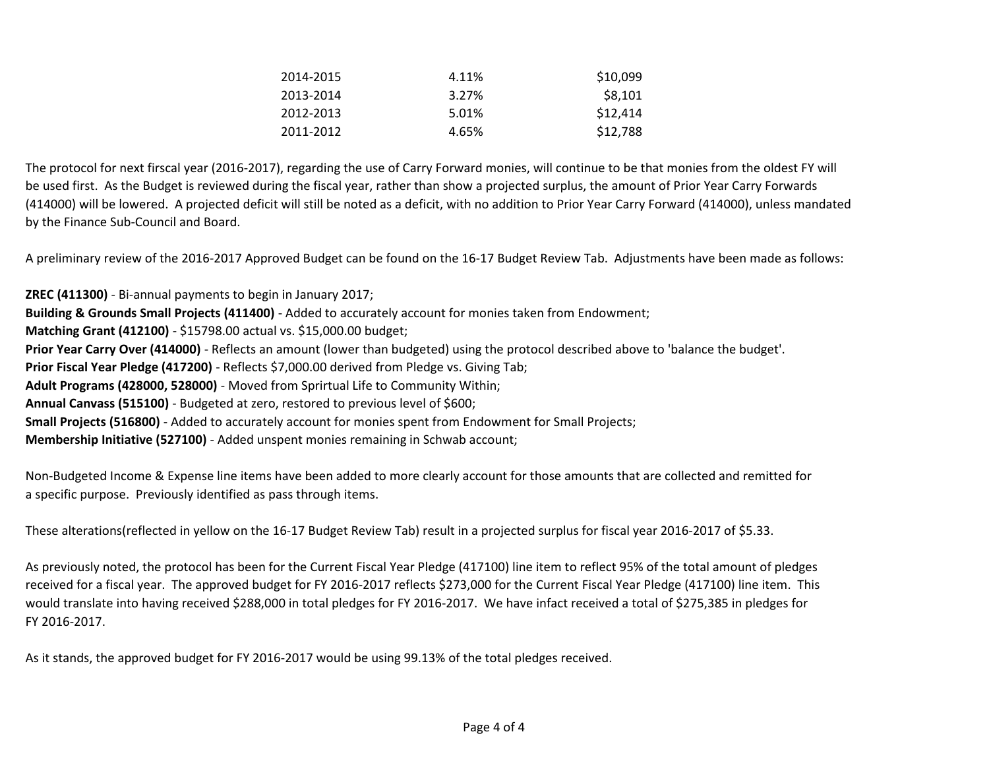| \$10,099 | 4.11% | 2014-2015 |
|----------|-------|-----------|
| \$8,101  | 3.27% | 2013-2014 |
| \$12,414 | 5.01% | 2012-2013 |
| \$12,788 | 4.65% | 2011-2012 |

The protocol for next firscal year (2016-2017), regarding the use of Carry Forward monies, will continue to be that monies from the oldest FY will be used first. As the Budget is reviewed during the fiscal year, rather than show a projected surplus, the amount of Prior Year Carry Forwards (414000) will be lowered. A projected deficit will still be noted as a deficit, with no addition to Prior Year Carry Forward (414000), unless mandated by the Finance Sub-Council and Board.

A preliminary review of the 2016-2017 Approved Budget can be found on the 16-17 Budget Review Tab. Adjustments have been made as follows:

**ZREC (411300)** - Bi-annual payments to begin in January 2017; **Building & Grounds Small Projects (411400)** - Added to accurately account for monies taken from Endowment; **Matching Grant (412100)** - \$15798.00 actual vs. \$15,000.00 budget; **Prior Year Carry Over (414000)** - Reflects an amount (lower than budgeted) using the protocol described above to 'balance the budget'. **Prior Fiscal Year Pledge (417200)** - Reflects \$7,000.00 derived from Pledge vs. Giving Tab; **Adult Programs (428000, 528000)** - Moved from Sprirtual Life to Community Within; **Annual Canvass (515100)** - Budgeted at zero, restored to previous level of \$600; **Small Projects (516800)** - Added to accurately account for monies spent from Endowment for Small Projects; **Membership Initiative (527100)** - Added unspent monies remaining in Schwab account;

Non-Budgeted Income & Expense line items have been added to more clearly account for those amounts that are collected and remitted for a specific purpose. Previously identified as pass through items.

These alterations(reflected in yellow on the 16-17 Budget Review Tab) result in a projected surplus for fiscal year 2016-2017 of \$5.33.

As previously noted, the protocol has been for the Current Fiscal Year Pledge (417100) line item to reflect 95% of the total amount of pledges received for a fiscal year. The approved budget for FY 2016-2017 reflects \$273,000 for the Current Fiscal Year Pledge (417100) line item. This would translate into having received \$288,000 in total pledges for FY 2016-2017. We have infact received a total of \$275,385 in pledges for FY 2016-2017.

As it stands, the approved budget for FY 2016-2017 would be using 99.13% of the total pledges received.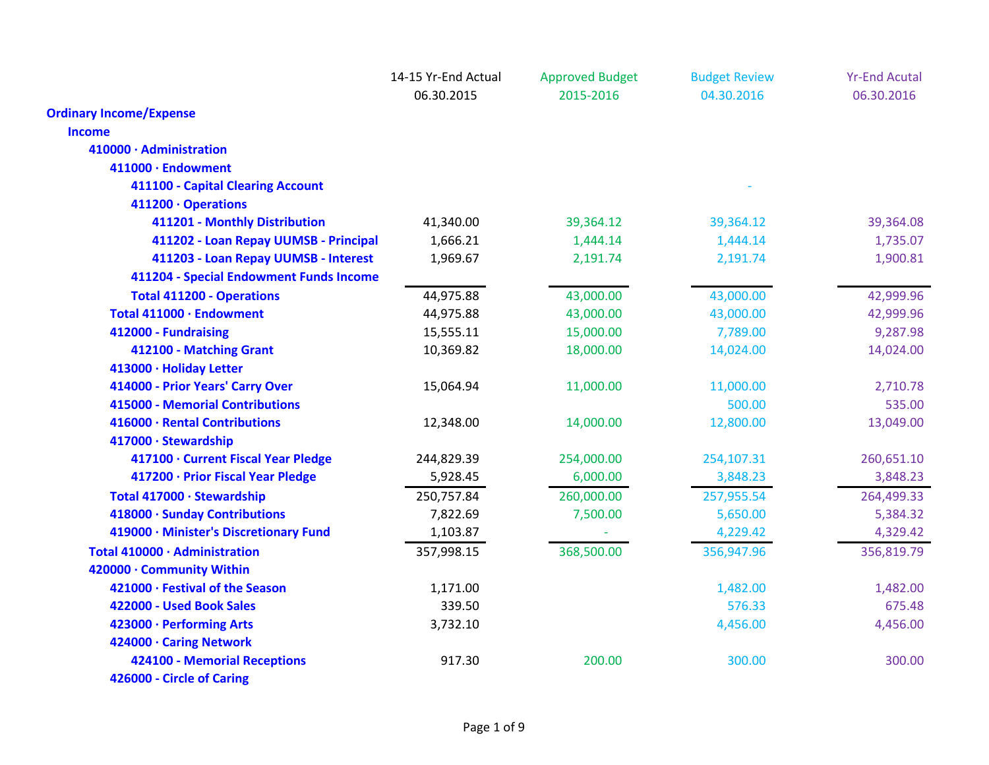|                                         | 14-15 Yr-End Actual | <b>Approved Budget</b> | <b>Budget Review</b> | <b>Yr-End Acutal</b> |
|-----------------------------------------|---------------------|------------------------|----------------------|----------------------|
|                                         | 06.30.2015          | 2015-2016              | 04.30.2016           | 06.30.2016           |
| <b>Ordinary Income/Expense</b>          |                     |                        |                      |                      |
| <b>Income</b>                           |                     |                        |                      |                      |
| 410000 · Administration                 |                     |                        |                      |                      |
| 411000 · Endowment                      |                     |                        |                      |                      |
| 411100 - Capital Clearing Account       |                     |                        |                      |                      |
| 411200 · Operations                     |                     |                        |                      |                      |
| 411201 - Monthly Distribution           | 41,340.00           | 39,364.12              | 39,364.12            | 39,364.08            |
| 411202 - Loan Repay UUMSB - Principal   | 1,666.21            | 1,444.14               | 1,444.14             | 1,735.07             |
| 411203 - Loan Repay UUMSB - Interest    | 1,969.67            | 2,191.74               | 2,191.74             | 1,900.81             |
| 411204 - Special Endowment Funds Income |                     |                        |                      |                      |
| <b>Total 411200 - Operations</b>        | 44,975.88           | 43,000.00              | 43,000.00            | 42,999.96            |
| Total 411000 · Endowment                | 44,975.88           | 43,000.00              | 43,000.00            | 42,999.96            |
| 412000 - Fundraising                    | 15,555.11           | 15,000.00              | 7,789.00             | 9,287.98             |
| 412100 - Matching Grant                 | 10,369.82           | 18,000.00              | 14,024.00            | 14,024.00            |
| 413000 · Holiday Letter                 |                     |                        |                      |                      |
| 414000 - Prior Years' Carry Over        | 15,064.94           | 11,000.00              | 11,000.00            | 2,710.78             |
| <b>415000 - Memorial Contributions</b>  |                     |                        | 500.00               | 535.00               |
| 416000 · Rental Contributions           | 12,348.00           | 14,000.00              | 12,800.00            | 13,049.00            |
| 417000 · Stewardship                    |                     |                        |                      |                      |
| 417100 · Current Fiscal Year Pledge     | 244,829.39          | 254,000.00             | 254,107.31           | 260,651.10           |
| 417200 · Prior Fiscal Year Pledge       | 5,928.45            | 6,000.00               | 3,848.23             | 3,848.23             |
| Total 417000 · Stewardship              | 250,757.84          | 260,000.00             | 257,955.54           | 264,499.33           |
| 418000 · Sunday Contributions           | 7,822.69            | 7,500.00               | 5,650.00             | 5,384.32             |
| 419000 · Minister's Discretionary Fund  | 1,103.87            |                        | 4,229.42             | 4,329.42             |
| Total 410000 · Administration           | 357,998.15          | 368,500.00             | 356,947.96           | 356,819.79           |
| 420000 · Community Within               |                     |                        |                      |                      |
| 421000 · Festival of the Season         | 1,171.00            |                        | 1,482.00             | 1,482.00             |
| 422000 - Used Book Sales                | 339.50              |                        | 576.33               | 675.48               |
| 423000 · Performing Arts                | 3,732.10            |                        | 4,456.00             | 4,456.00             |
| 424000 · Caring Network                 |                     |                        |                      |                      |
| 424100 - Memorial Receptions            | 917.30              | 200.00                 | 300.00               | 300.00               |
| 426000 - Circle of Caring               |                     |                        |                      |                      |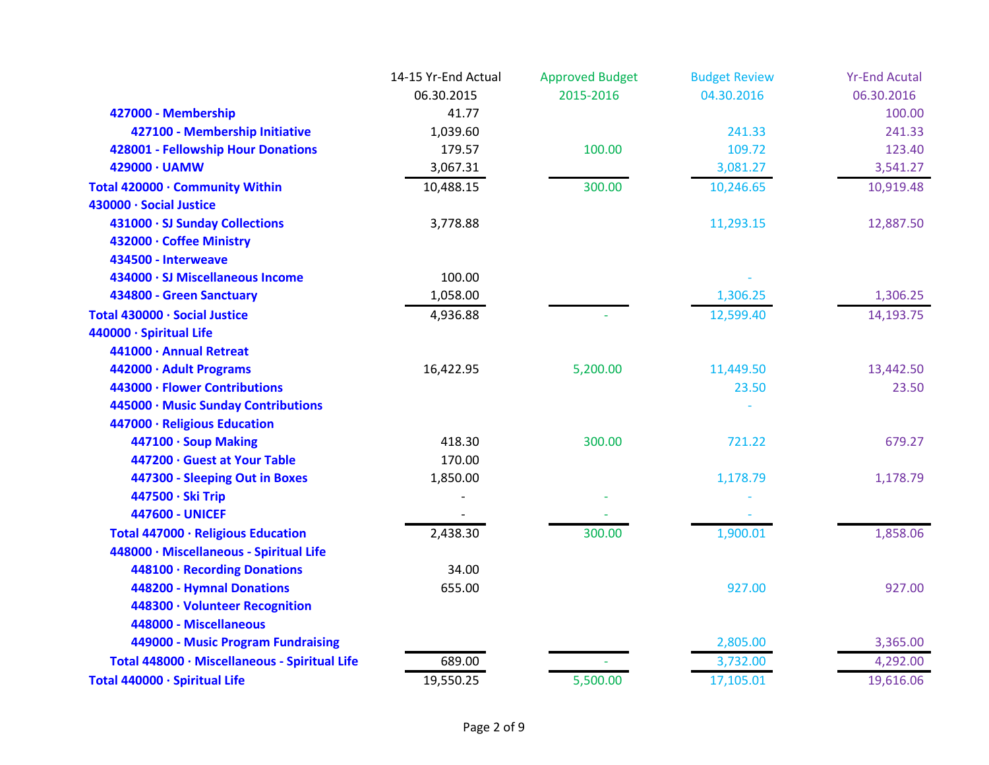|                                               | 14-15 Yr-End Actual | <b>Approved Budget</b> | <b>Budget Review</b> | <b>Yr-End Acutal</b> |
|-----------------------------------------------|---------------------|------------------------|----------------------|----------------------|
|                                               | 06.30.2015          | 2015-2016              | 04.30.2016           | 06.30.2016           |
| 427000 - Membership                           | 41.77               |                        |                      | 100.00               |
| 427100 - Membership Initiative                | 1,039.60            |                        | 241.33               | 241.33               |
| 428001 - Fellowship Hour Donations            | 179.57              | 100.00                 | 109.72               | 123.40               |
| 429000 · UAMW                                 | 3,067.31            |                        | 3,081.27             | 3,541.27             |
| Total 420000 · Community Within               | 10,488.15           | 300.00                 | 10,246.65            | 10,919.48            |
| 430000 · Social Justice                       |                     |                        |                      |                      |
| 431000 · SJ Sunday Collections                | 3,778.88            |                        | 11,293.15            | 12,887.50            |
| 432000 · Coffee Ministry                      |                     |                        |                      |                      |
| 434500 - Interweave                           |                     |                        |                      |                      |
| 434000 · SJ Miscellaneous Income              | 100.00              |                        |                      |                      |
| 434800 - Green Sanctuary                      | 1,058.00            |                        | 1,306.25             | 1,306.25             |
| Total 430000 · Social Justice                 | 4,936.88            |                        | 12,599.40            | 14,193.75            |
| 440000 · Spiritual Life                       |                     |                        |                      |                      |
| 441000 · Annual Retreat                       |                     |                        |                      |                      |
| 442000 · Adult Programs                       | 16,422.95           | 5,200.00               | 11,449.50            | 13,442.50            |
| 443000 · Flower Contributions                 |                     |                        | 23.50                | 23.50                |
| 445000 · Music Sunday Contributions           |                     |                        |                      |                      |
| 447000 · Religious Education                  |                     |                        |                      |                      |
| 447100 · Soup Making                          | 418.30              | 300.00                 | 721.22               | 679.27               |
| 447200 · Guest at Your Table                  | 170.00              |                        |                      |                      |
| 447300 - Sleeping Out in Boxes                | 1,850.00            |                        | 1,178.79             | 1,178.79             |
| 447500 · Ski Trip                             |                     |                        |                      |                      |
| <b>447600 - UNICEF</b>                        |                     |                        |                      |                      |
| Total 447000 · Religious Education            | 2,438.30            | 300.00                 | 1,900.01             | 1,858.06             |
| 448000 · Miscellaneous - Spiritual Life       |                     |                        |                      |                      |
| 448100 · Recording Donations                  | 34.00               |                        |                      |                      |
| 448200 - Hymnal Donations                     | 655.00              |                        | 927.00               | 927.00               |
| 448300 · Volunteer Recognition                |                     |                        |                      |                      |
| 448000 - Miscellaneous                        |                     |                        |                      |                      |
| 449000 - Music Program Fundraising            |                     |                        | 2,805.00             | 3,365.00             |
| Total 448000 · Miscellaneous - Spiritual Life | 689.00              |                        | 3,732.00             | 4,292.00             |
| Total 440000 · Spiritual Life                 | 19,550.25           | 5,500.00               | 17,105.01            | 19,616.06            |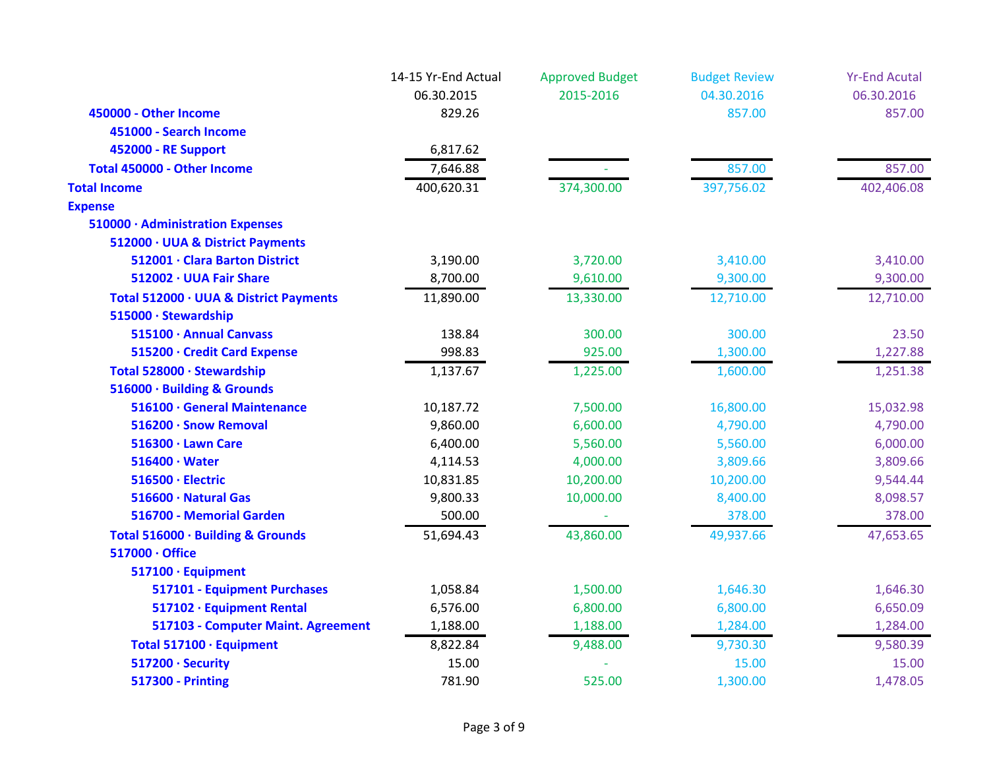|                                        | 14-15 Yr-End Actual | <b>Approved Budget</b> | <b>Budget Review</b> | <b>Yr-End Acutal</b> |
|----------------------------------------|---------------------|------------------------|----------------------|----------------------|
|                                        | 06.30.2015          | 2015-2016              | 04.30.2016           | 06.30.2016           |
| 450000 - Other Income                  | 829.26              |                        | 857.00               | 857.00               |
| 451000 - Search Income                 |                     |                        |                      |                      |
| 452000 - RE Support                    | 6,817.62            |                        |                      |                      |
| Total 450000 - Other Income            | 7,646.88            |                        | 857.00               | 857.00               |
| <b>Total Income</b>                    | 400,620.31          | 374,300.00             | 397,756.02           | 402,406.08           |
| <b>Expense</b>                         |                     |                        |                      |                      |
| 510000 · Administration Expenses       |                     |                        |                      |                      |
| 512000 · UUA & District Payments       |                     |                        |                      |                      |
| 512001 · Clara Barton District         | 3,190.00            | 3,720.00               | 3,410.00             | 3,410.00             |
| 512002 · UUA Fair Share                | 8,700.00            | 9,610.00               | 9,300.00             | 9,300.00             |
| Total 512000 · UUA & District Payments | 11,890.00           | 13,330.00              | 12,710.00            | 12,710.00            |
| 515000 · Stewardship                   |                     |                        |                      |                      |
| 515100 · Annual Canvass                | 138.84              | 300.00                 | 300.00               | 23.50                |
| 515200 · Credit Card Expense           | 998.83              | 925.00                 | 1,300.00             | 1,227.88             |
| Total 528000 · Stewardship             | 1,137.67            | 1,225.00               | 1,600.00             | 1,251.38             |
| 516000 · Building & Grounds            |                     |                        |                      |                      |
| 516100 · General Maintenance           | 10,187.72           | 7,500.00               | 16,800.00            | 15,032.98            |
| 516200 · Snow Removal                  | 9,860.00            | 6,600.00               | 4,790.00             | 4,790.00             |
| 516300 · Lawn Care                     | 6,400.00            | 5,560.00               | 5,560.00             | 6,000.00             |
| $516400 \cdot Water$                   | 4,114.53            | 4,000.00               | 3,809.66             | 3,809.66             |
| 516500 · Electric                      | 10,831.85           | 10,200.00              | 10,200.00            | 9,544.44             |
| 516600 · Natural Gas                   | 9,800.33            | 10,000.00              | 8,400.00             | 8,098.57             |
| 516700 - Memorial Garden               | 500.00              |                        | 378.00               | 378.00               |
| Total 516000 · Building & Grounds      | 51,694.43           | 43,860.00              | 49,937.66            | 47,653.65            |
| 517000 · Office                        |                     |                        |                      |                      |
| 517100 · Equipment                     |                     |                        |                      |                      |
| 517101 - Equipment Purchases           | 1,058.84            | 1,500.00               | 1,646.30             | 1,646.30             |
| 517102 · Equipment Rental              | 6,576.00            | 6,800.00               | 6,800.00             | 6,650.09             |
| 517103 - Computer Maint. Agreement     | 1,188.00            | 1,188.00               | 1,284.00             | 1,284.00             |
| Total 517100 · Equipment               | 8,822.84            | 9,488.00               | 9,730.30             | 9,580.39             |
| 517200 · Security                      | 15.00               |                        | 15.00                | 15.00                |
| <b>517300 - Printing</b>               | 781.90              | 525.00                 | 1,300.00             | 1,478.05             |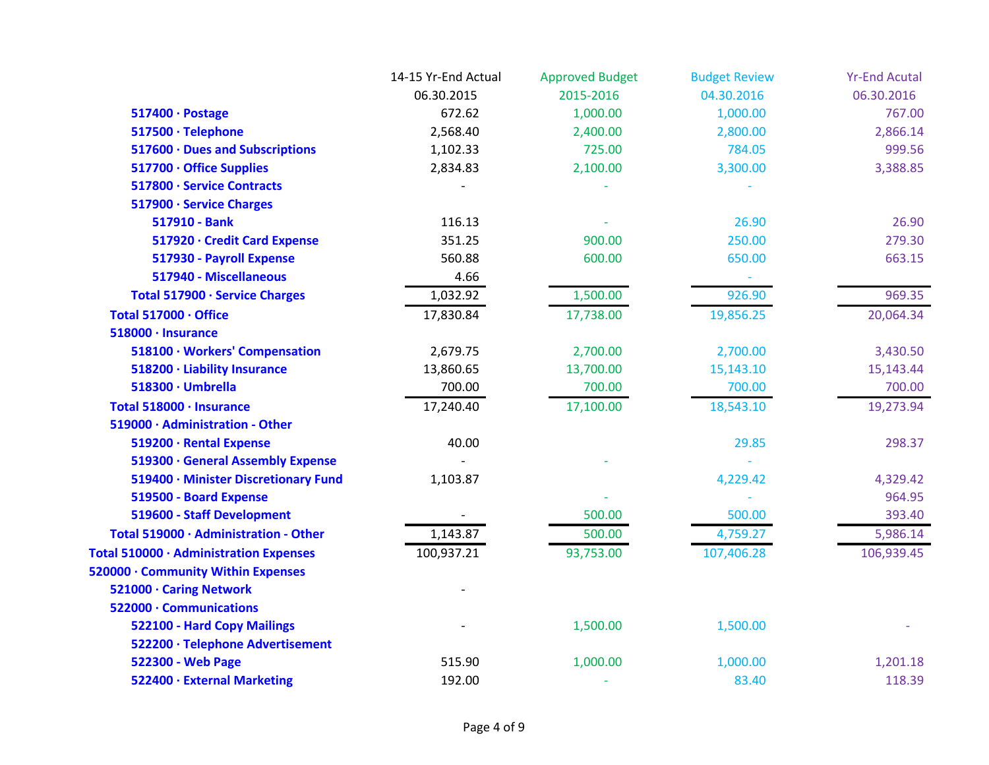|                                        | 14-15 Yr-End Actual | <b>Approved Budget</b> | <b>Budget Review</b>     | <b>Yr-End Acutal</b> |
|----------------------------------------|---------------------|------------------------|--------------------------|----------------------|
|                                        | 06.30.2015          | 2015-2016              | 04.30.2016               | 06.30.2016           |
| 517400 · Postage                       | 672.62              | 1,000.00               | 1,000.00                 | 767.00               |
| 517500 · Telephone                     | 2,568.40            | 2,400.00               | 2,800.00                 | 2,866.14             |
| 517600 · Dues and Subscriptions        | 1,102.33            | 725.00                 | 784.05                   | 999.56               |
| 517700 · Office Supplies               | 2,834.83            | 2,100.00               | 3,300.00                 | 3,388.85             |
| 517800 · Service Contracts             |                     |                        |                          |                      |
| 517900 · Service Charges               |                     |                        |                          |                      |
| 517910 - Bank                          | 116.13              |                        | 26.90                    | 26.90                |
| 517920 · Credit Card Expense           | 351.25              | 900.00                 | 250.00                   | 279.30               |
| 517930 - Payroll Expense               | 560.88              | 600.00                 | 650.00                   | 663.15               |
| 517940 - Miscellaneous                 | 4.66                |                        | $\overline{\phantom{a}}$ |                      |
| Total 517900 · Service Charges         | 1,032.92            | 1,500.00               | 926.90                   | 969.35               |
| Total 517000 · Office                  | 17,830.84           | 17,738.00              | 19,856.25                | 20,064.34            |
| 518000 · Insurance                     |                     |                        |                          |                      |
| 518100 · Workers' Compensation         | 2,679.75            | 2,700.00               | 2,700.00                 | 3,430.50             |
| 518200 · Liability Insurance           | 13,860.65           | 13,700.00              | 15,143.10                | 15,143.44            |
| 518300 · Umbrella                      | 700.00              | 700.00                 | 700.00                   | 700.00               |
| Total 518000 · Insurance               | 17,240.40           | 17,100.00              | 18,543.10                | 19,273.94            |
| 519000 · Administration - Other        |                     |                        |                          |                      |
| 519200 · Rental Expense                | 40.00               |                        | 29.85                    | 298.37               |
| 519300 · General Assembly Expense      |                     |                        |                          |                      |
| 519400 · Minister Discretionary Fund   | 1,103.87            |                        | 4,229.42                 | 4,329.42             |
| 519500 - Board Expense                 |                     |                        |                          | 964.95               |
| 519600 - Staff Development             |                     | 500.00                 | 500.00                   | 393.40               |
| Total 519000 · Administration - Other  | 1,143.87            | 500.00                 | 4,759.27                 | 5,986.14             |
| Total 510000 · Administration Expenses | 100,937.21          | 93,753.00              | 107,406.28               | 106,939.45           |
| 520000 · Community Within Expenses     |                     |                        |                          |                      |
| 521000 · Caring Network                |                     |                        |                          |                      |
| 522000 · Communications                |                     |                        |                          |                      |
| 522100 - Hard Copy Mailings            |                     | 1,500.00               | 1,500.00                 |                      |
| 522200 · Telephone Advertisement       |                     |                        |                          |                      |
| 522300 - Web Page                      | 515.90              | 1,000.00               | 1,000.00                 | 1,201.18             |
| 522400 · External Marketing            | 192.00              |                        | 83.40                    | 118.39               |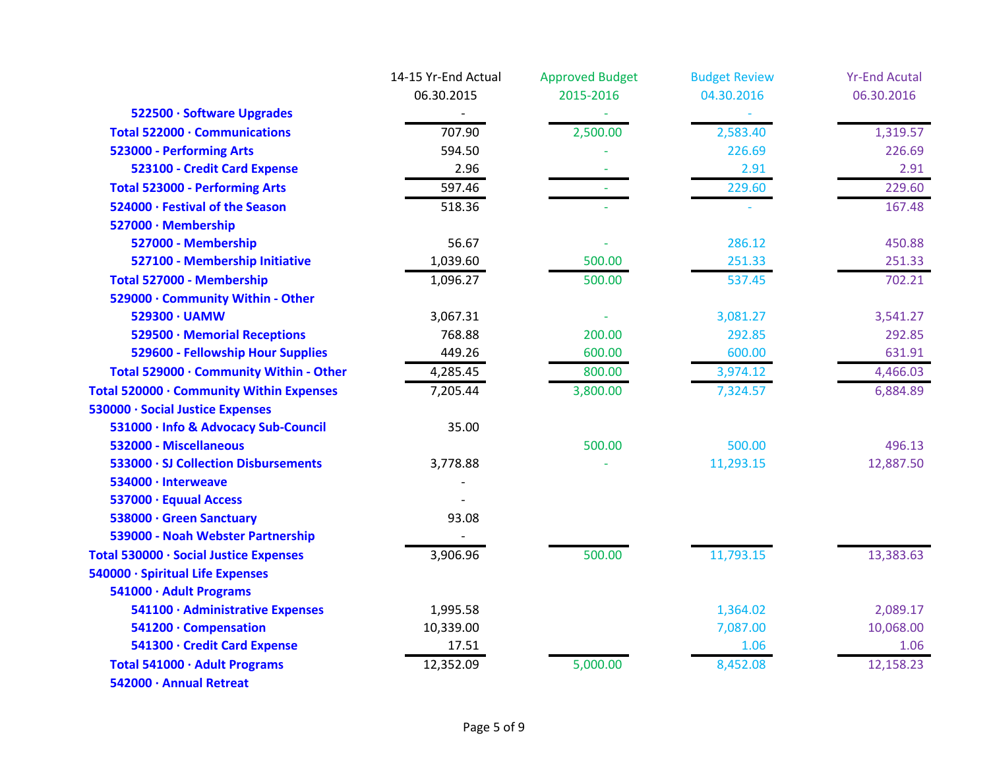|                                          | 14-15 Yr-End Actual | <b>Approved Budget</b> | <b>Budget Review</b> | <b>Yr-End Acutal</b> |
|------------------------------------------|---------------------|------------------------|----------------------|----------------------|
|                                          | 06.30.2015          | 2015-2016              | 04.30.2016           | 06.30.2016           |
| 522500 · Software Upgrades               |                     |                        |                      |                      |
| Total 522000 · Communications            | 707.90              | 2,500.00               | 2,583.40             | 1,319.57             |
| 523000 - Performing Arts                 | 594.50              |                        | 226.69               | 226.69               |
| 523100 - Credit Card Expense             | 2.96                |                        | 2.91                 | 2.91                 |
| <b>Total 523000 - Performing Arts</b>    | 597.46              |                        | 229.60               | 229.60               |
| 524000 · Festival of the Season          | 518.36              |                        |                      | 167.48               |
| 527000 · Membership                      |                     |                        |                      |                      |
| 527000 - Membership                      | 56.67               |                        | 286.12               | 450.88               |
| 527100 - Membership Initiative           | 1,039.60            | 500.00                 | 251.33               | 251.33               |
| Total 527000 - Membership                | 1,096.27            | 500.00                 | 537.45               | 702.21               |
| 529000 · Community Within - Other        |                     |                        |                      |                      |
| 529300 · UAMW                            | 3,067.31            |                        | 3,081.27             | 3,541.27             |
| 529500 · Memorial Receptions             | 768.88              | 200.00                 | 292.85               | 292.85               |
| 529600 - Fellowship Hour Supplies        | 449.26              | 600.00                 | 600.00               | 631.91               |
| Total 529000 · Community Within - Other  | 4,285.45            | 800.00                 | 3,974.12             | 4,466.03             |
| Total 520000 · Community Within Expenses | 7,205.44            | 3,800.00               | 7,324.57             | 6,884.89             |
| 530000 · Social Justice Expenses         |                     |                        |                      |                      |
| 531000 · Info & Advocacy Sub-Council     | 35.00               |                        |                      |                      |
| 532000 - Miscellaneous                   |                     | 500.00                 | 500.00               | 496.13               |
| 533000 · SJ Collection Disbursements     | 3,778.88            |                        | 11,293.15            | 12,887.50            |
| 534000 · Interweave                      |                     |                        |                      |                      |
| 537000 · Equual Access                   |                     |                        |                      |                      |
| 538000 · Green Sanctuary                 | 93.08               |                        |                      |                      |
| 539000 - Noah Webster Partnership        |                     |                        |                      |                      |
| Total 530000 · Social Justice Expenses   | 3,906.96            | 500.00                 | 11,793.15            | 13,383.63            |
| 540000 · Spiritual Life Expenses         |                     |                        |                      |                      |
| 541000 · Adult Programs                  |                     |                        |                      |                      |
| 541100 · Administrative Expenses         | 1,995.58            |                        | 1,364.02             | 2,089.17             |
| 541200 · Compensation                    | 10,339.00           |                        | 7,087.00             | 10,068.00            |
| 541300 · Credit Card Expense             | 17.51               |                        | 1.06                 | 1.06                 |
| Total 541000 · Adult Programs            | 12,352.09           | 5,000.00               | 8,452.08             | 12,158.23            |
| 542000 · Annual Retreat                  |                     |                        |                      |                      |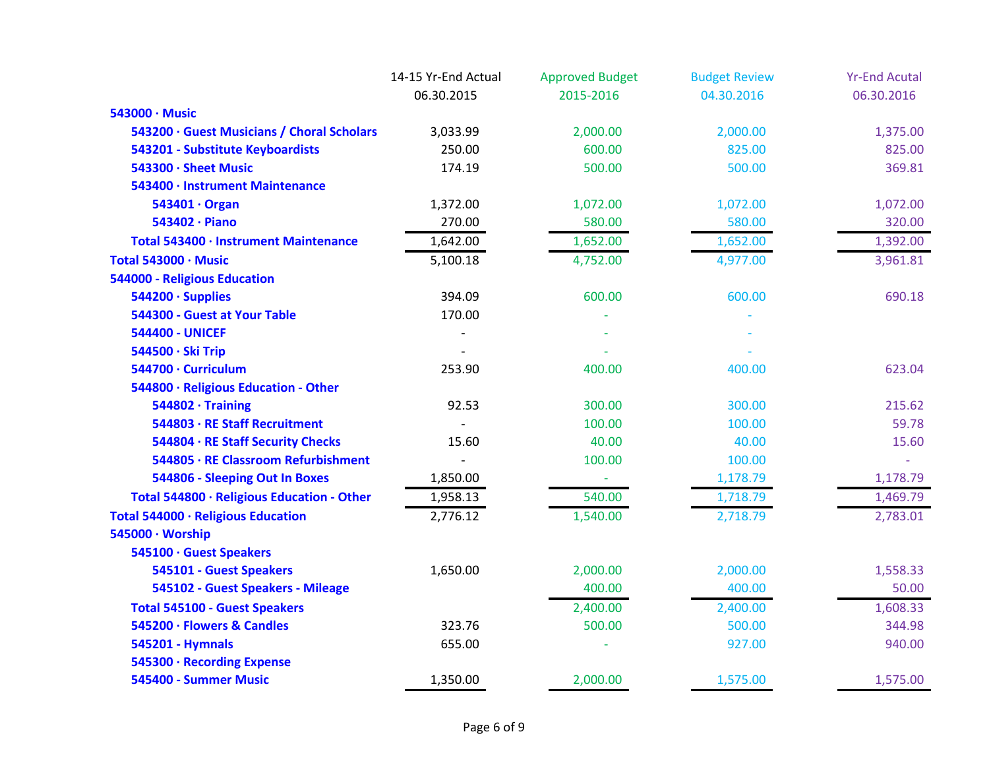|                                            | 14-15 Yr-End Actual | <b>Approved Budget</b> | <b>Budget Review</b> | <b>Yr-End Acutal</b> |
|--------------------------------------------|---------------------|------------------------|----------------------|----------------------|
|                                            | 06.30.2015          | 2015-2016              | 04.30.2016           | 06.30.2016           |
| 543000 · Music                             |                     |                        |                      |                      |
| 543200 · Guest Musicians / Choral Scholars | 3,033.99            | 2,000.00               | 2,000.00             | 1,375.00             |
| 543201 - Substitute Keyboardists           | 250.00              | 600.00                 | 825.00               | 825.00               |
| 543300 · Sheet Music                       | 174.19              | 500.00                 | 500.00               | 369.81               |
| 543400 · Instrument Maintenance            |                     |                        |                      |                      |
| 543401 · Organ                             | 1,372.00            | 1,072.00               | 1,072.00             | 1,072.00             |
| 543402 · Piano                             | 270.00              | 580.00                 | 580.00               | 320.00               |
| Total 543400 · Instrument Maintenance      | 1,642.00            | 1,652.00               | 1,652.00             | 1,392.00             |
| Total 543000 · Music                       | 5,100.18            | 4,752.00               | 4,977.00             | 3,961.81             |
| 544000 - Religious Education               |                     |                        |                      |                      |
| 544200 · Supplies                          | 394.09              | 600.00                 | 600.00               | 690.18               |
| 544300 - Guest at Your Table               | 170.00              |                        |                      |                      |
| <b>544400 - UNICEF</b>                     |                     |                        |                      |                      |
| 544500 · Ski Trip                          |                     |                        |                      |                      |
| 544700 · Curriculum                        | 253.90              | 400.00                 | 400.00               | 623.04               |
| 544800 · Religious Education - Other       |                     |                        |                      |                      |
| $544802 \cdot$ Training                    | 92.53               | 300.00                 | 300.00               | 215.62               |
| 544803 · RE Staff Recruitment              |                     | 100.00                 | 100.00               | 59.78                |
| 544804 · RE Staff Security Checks          | 15.60               | 40.00                  | 40.00                | 15.60                |
| 544805 · RE Classroom Refurbishment        |                     | 100.00                 | 100.00               |                      |
| 544806 - Sleeping Out In Boxes             | 1,850.00            |                        | 1,178.79             | 1,178.79             |
| Total 544800 · Religious Education - Other | 1,958.13            | 540.00                 | 1,718.79             | 1,469.79             |
| Total 544000 · Religious Education         | 2,776.12            | 1,540.00               | 2,718.79             | 2,783.01             |
| 545000 · Worship                           |                     |                        |                      |                      |
| 545100 · Guest Speakers                    |                     |                        |                      |                      |
| 545101 - Guest Speakers                    | 1,650.00            | 2,000.00               | 2,000.00             | 1,558.33             |
| 545102 - Guest Speakers - Mileage          |                     | 400.00                 | 400.00               | 50.00                |
| <b>Total 545100 - Guest Speakers</b>       |                     | 2,400.00               | 2,400.00             | 1,608.33             |
| 545200 · Flowers & Candles                 | 323.76              | 500.00                 | 500.00               | 344.98               |
| 545201 - Hymnals                           | 655.00              |                        | 927.00               | 940.00               |
| 545300 · Recording Expense                 |                     |                        |                      |                      |
| 545400 - Summer Music                      | 1,350.00            | 2,000.00               | 1,575.00             | 1,575.00             |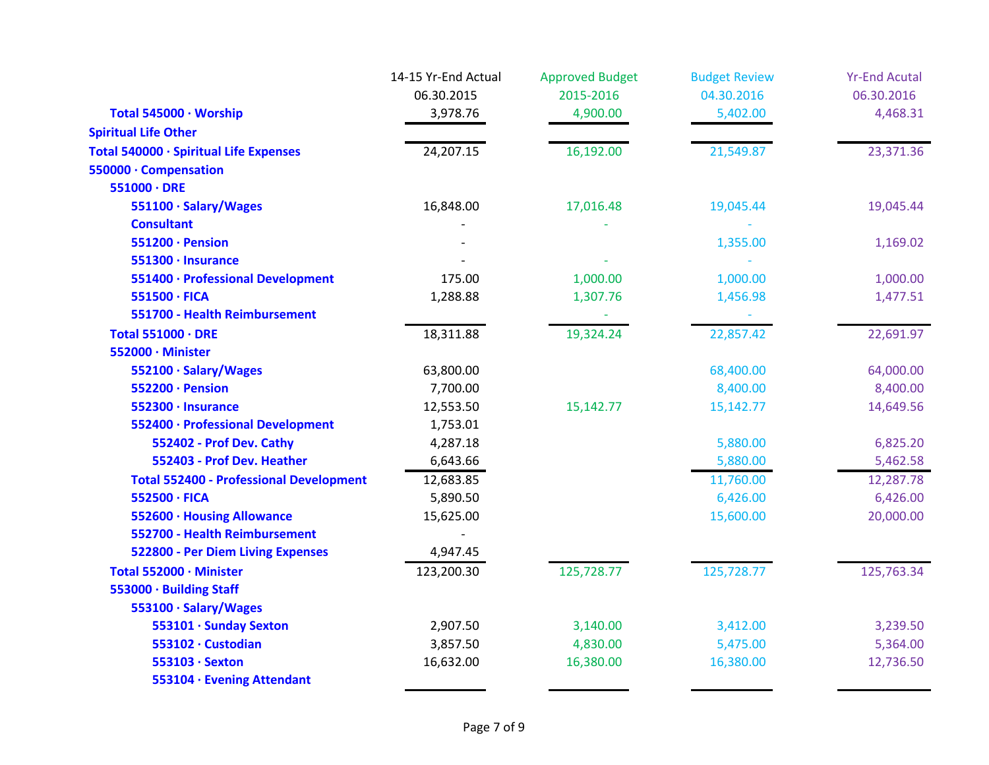| 06.30.2015<br>06.30.2016<br>2015-2016<br>04.30.2016<br>Total 545000 · Worship<br>3,978.76<br>4,900.00<br>5,402.00<br>4,468.31<br><b>Spiritual Life Other</b><br>24,207.15<br>16,192.00<br>21,549.87<br>23,371.36<br>Total 540000 · Spiritual Life Expenses<br>550000 · Compensation<br>$551000 \cdot DRE$<br>551100 · Salary/Wages<br>16,848.00<br>17,016.48<br>19,045.44<br>19,045.44<br><b>Consultant</b><br>551200 · Pension<br>1,355.00<br>1,169.02<br>551300 · Insurance<br>551400 · Professional Development<br>175.00<br>1,000.00<br>1,000.00<br>1,000.00<br>551500 · FICA<br>1,288.88<br>1,307.76<br>1,456.98<br>1,477.51<br>551700 - Health Reimbursement<br>19,324.24<br>22,857.42<br>18,311.88<br><b>Total 551000 · DRE</b><br>552000 · Minister<br>552100 · Salary/Wages<br>63,800.00<br>68,400.00<br>64,000.00<br>552200 · Pension<br>8,400.00<br>7,700.00<br>8,400.00<br>552300 · Insurance<br>12,553.50<br>15,142.77<br>14,649.56<br>15,142.77<br>552400 · Professional Development<br>1,753.01<br>552402 - Prof Dev. Cathy<br>4,287.18<br>5,880.00<br>6,825.20<br>552403 - Prof Dev. Heather<br>6,643.66<br>5,880.00<br>5,462.58<br><b>Total 552400 - Professional Development</b><br>12,683.85<br>11,760.00<br>12,287.78<br>552500 · FICA<br>6,426.00<br>5,890.50<br>6,426.00<br>20,000.00<br>552600 · Housing Allowance<br>15,625.00<br>15,600.00<br>552700 - Health Reimbursement<br>4,947.45<br><b>522800 - Per Diem Living Expenses</b><br>125,728.77<br>125,728.77<br>123,200.30<br>125,763.34<br>Total 552000 · Minister<br>553000 · Building Staff<br>553100 · Salary/Wages<br>553101 · Sunday Sexton<br>2,907.50<br>3,140.00<br>3,412.00<br>3,239.50<br>553102 · Custodian<br>3,857.50<br>5,364.00<br>4,830.00<br>5,475.00<br>16,632.00<br>553103 · Sexton<br>16,380.00<br>16,380.00<br>12,736.50 | 14-15 Yr-End Actual | <b>Approved Budget</b> | <b>Budget Review</b> | <b>Yr-End Acutal</b> |
|----------------------------------------------------------------------------------------------------------------------------------------------------------------------------------------------------------------------------------------------------------------------------------------------------------------------------------------------------------------------------------------------------------------------------------------------------------------------------------------------------------------------------------------------------------------------------------------------------------------------------------------------------------------------------------------------------------------------------------------------------------------------------------------------------------------------------------------------------------------------------------------------------------------------------------------------------------------------------------------------------------------------------------------------------------------------------------------------------------------------------------------------------------------------------------------------------------------------------------------------------------------------------------------------------------------------------------------------------------------------------------------------------------------------------------------------------------------------------------------------------------------------------------------------------------------------------------------------------------------------------------------------------------------------------------------------------------------------------------------------------------------------------------------------------------------------------|---------------------|------------------------|----------------------|----------------------|
|                                                                                                                                                                                                                                                                                                                                                                                                                                                                                                                                                                                                                                                                                                                                                                                                                                                                                                                                                                                                                                                                                                                                                                                                                                                                                                                                                                                                                                                                                                                                                                                                                                                                                                                                                                                                                            |                     |                        |                      |                      |
|                                                                                                                                                                                                                                                                                                                                                                                                                                                                                                                                                                                                                                                                                                                                                                                                                                                                                                                                                                                                                                                                                                                                                                                                                                                                                                                                                                                                                                                                                                                                                                                                                                                                                                                                                                                                                            |                     |                        |                      |                      |
|                                                                                                                                                                                                                                                                                                                                                                                                                                                                                                                                                                                                                                                                                                                                                                                                                                                                                                                                                                                                                                                                                                                                                                                                                                                                                                                                                                                                                                                                                                                                                                                                                                                                                                                                                                                                                            |                     |                        |                      |                      |
|                                                                                                                                                                                                                                                                                                                                                                                                                                                                                                                                                                                                                                                                                                                                                                                                                                                                                                                                                                                                                                                                                                                                                                                                                                                                                                                                                                                                                                                                                                                                                                                                                                                                                                                                                                                                                            |                     |                        |                      |                      |
|                                                                                                                                                                                                                                                                                                                                                                                                                                                                                                                                                                                                                                                                                                                                                                                                                                                                                                                                                                                                                                                                                                                                                                                                                                                                                                                                                                                                                                                                                                                                                                                                                                                                                                                                                                                                                            |                     |                        |                      |                      |
|                                                                                                                                                                                                                                                                                                                                                                                                                                                                                                                                                                                                                                                                                                                                                                                                                                                                                                                                                                                                                                                                                                                                                                                                                                                                                                                                                                                                                                                                                                                                                                                                                                                                                                                                                                                                                            |                     |                        |                      |                      |
|                                                                                                                                                                                                                                                                                                                                                                                                                                                                                                                                                                                                                                                                                                                                                                                                                                                                                                                                                                                                                                                                                                                                                                                                                                                                                                                                                                                                                                                                                                                                                                                                                                                                                                                                                                                                                            |                     |                        |                      |                      |
|                                                                                                                                                                                                                                                                                                                                                                                                                                                                                                                                                                                                                                                                                                                                                                                                                                                                                                                                                                                                                                                                                                                                                                                                                                                                                                                                                                                                                                                                                                                                                                                                                                                                                                                                                                                                                            |                     |                        |                      |                      |
|                                                                                                                                                                                                                                                                                                                                                                                                                                                                                                                                                                                                                                                                                                                                                                                                                                                                                                                                                                                                                                                                                                                                                                                                                                                                                                                                                                                                                                                                                                                                                                                                                                                                                                                                                                                                                            |                     |                        |                      |                      |
|                                                                                                                                                                                                                                                                                                                                                                                                                                                                                                                                                                                                                                                                                                                                                                                                                                                                                                                                                                                                                                                                                                                                                                                                                                                                                                                                                                                                                                                                                                                                                                                                                                                                                                                                                                                                                            |                     |                        |                      |                      |
|                                                                                                                                                                                                                                                                                                                                                                                                                                                                                                                                                                                                                                                                                                                                                                                                                                                                                                                                                                                                                                                                                                                                                                                                                                                                                                                                                                                                                                                                                                                                                                                                                                                                                                                                                                                                                            |                     |                        |                      |                      |
|                                                                                                                                                                                                                                                                                                                                                                                                                                                                                                                                                                                                                                                                                                                                                                                                                                                                                                                                                                                                                                                                                                                                                                                                                                                                                                                                                                                                                                                                                                                                                                                                                                                                                                                                                                                                                            |                     |                        |                      |                      |
|                                                                                                                                                                                                                                                                                                                                                                                                                                                                                                                                                                                                                                                                                                                                                                                                                                                                                                                                                                                                                                                                                                                                                                                                                                                                                                                                                                                                                                                                                                                                                                                                                                                                                                                                                                                                                            |                     |                        |                      |                      |
|                                                                                                                                                                                                                                                                                                                                                                                                                                                                                                                                                                                                                                                                                                                                                                                                                                                                                                                                                                                                                                                                                                                                                                                                                                                                                                                                                                                                                                                                                                                                                                                                                                                                                                                                                                                                                            |                     |                        |                      | 22,691.97            |
|                                                                                                                                                                                                                                                                                                                                                                                                                                                                                                                                                                                                                                                                                                                                                                                                                                                                                                                                                                                                                                                                                                                                                                                                                                                                                                                                                                                                                                                                                                                                                                                                                                                                                                                                                                                                                            |                     |                        |                      |                      |
|                                                                                                                                                                                                                                                                                                                                                                                                                                                                                                                                                                                                                                                                                                                                                                                                                                                                                                                                                                                                                                                                                                                                                                                                                                                                                                                                                                                                                                                                                                                                                                                                                                                                                                                                                                                                                            |                     |                        |                      |                      |
|                                                                                                                                                                                                                                                                                                                                                                                                                                                                                                                                                                                                                                                                                                                                                                                                                                                                                                                                                                                                                                                                                                                                                                                                                                                                                                                                                                                                                                                                                                                                                                                                                                                                                                                                                                                                                            |                     |                        |                      |                      |
|                                                                                                                                                                                                                                                                                                                                                                                                                                                                                                                                                                                                                                                                                                                                                                                                                                                                                                                                                                                                                                                                                                                                                                                                                                                                                                                                                                                                                                                                                                                                                                                                                                                                                                                                                                                                                            |                     |                        |                      |                      |
|                                                                                                                                                                                                                                                                                                                                                                                                                                                                                                                                                                                                                                                                                                                                                                                                                                                                                                                                                                                                                                                                                                                                                                                                                                                                                                                                                                                                                                                                                                                                                                                                                                                                                                                                                                                                                            |                     |                        |                      |                      |
|                                                                                                                                                                                                                                                                                                                                                                                                                                                                                                                                                                                                                                                                                                                                                                                                                                                                                                                                                                                                                                                                                                                                                                                                                                                                                                                                                                                                                                                                                                                                                                                                                                                                                                                                                                                                                            |                     |                        |                      |                      |
|                                                                                                                                                                                                                                                                                                                                                                                                                                                                                                                                                                                                                                                                                                                                                                                                                                                                                                                                                                                                                                                                                                                                                                                                                                                                                                                                                                                                                                                                                                                                                                                                                                                                                                                                                                                                                            |                     |                        |                      |                      |
|                                                                                                                                                                                                                                                                                                                                                                                                                                                                                                                                                                                                                                                                                                                                                                                                                                                                                                                                                                                                                                                                                                                                                                                                                                                                                                                                                                                                                                                                                                                                                                                                                                                                                                                                                                                                                            |                     |                        |                      |                      |
|                                                                                                                                                                                                                                                                                                                                                                                                                                                                                                                                                                                                                                                                                                                                                                                                                                                                                                                                                                                                                                                                                                                                                                                                                                                                                                                                                                                                                                                                                                                                                                                                                                                                                                                                                                                                                            |                     |                        |                      |                      |
|                                                                                                                                                                                                                                                                                                                                                                                                                                                                                                                                                                                                                                                                                                                                                                                                                                                                                                                                                                                                                                                                                                                                                                                                                                                                                                                                                                                                                                                                                                                                                                                                                                                                                                                                                                                                                            |                     |                        |                      |                      |
|                                                                                                                                                                                                                                                                                                                                                                                                                                                                                                                                                                                                                                                                                                                                                                                                                                                                                                                                                                                                                                                                                                                                                                                                                                                                                                                                                                                                                                                                                                                                                                                                                                                                                                                                                                                                                            |                     |                        |                      |                      |
|                                                                                                                                                                                                                                                                                                                                                                                                                                                                                                                                                                                                                                                                                                                                                                                                                                                                                                                                                                                                                                                                                                                                                                                                                                                                                                                                                                                                                                                                                                                                                                                                                                                                                                                                                                                                                            |                     |                        |                      |                      |
|                                                                                                                                                                                                                                                                                                                                                                                                                                                                                                                                                                                                                                                                                                                                                                                                                                                                                                                                                                                                                                                                                                                                                                                                                                                                                                                                                                                                                                                                                                                                                                                                                                                                                                                                                                                                                            |                     |                        |                      |                      |
|                                                                                                                                                                                                                                                                                                                                                                                                                                                                                                                                                                                                                                                                                                                                                                                                                                                                                                                                                                                                                                                                                                                                                                                                                                                                                                                                                                                                                                                                                                                                                                                                                                                                                                                                                                                                                            |                     |                        |                      |                      |
|                                                                                                                                                                                                                                                                                                                                                                                                                                                                                                                                                                                                                                                                                                                                                                                                                                                                                                                                                                                                                                                                                                                                                                                                                                                                                                                                                                                                                                                                                                                                                                                                                                                                                                                                                                                                                            |                     |                        |                      |                      |
|                                                                                                                                                                                                                                                                                                                                                                                                                                                                                                                                                                                                                                                                                                                                                                                                                                                                                                                                                                                                                                                                                                                                                                                                                                                                                                                                                                                                                                                                                                                                                                                                                                                                                                                                                                                                                            |                     |                        |                      |                      |
|                                                                                                                                                                                                                                                                                                                                                                                                                                                                                                                                                                                                                                                                                                                                                                                                                                                                                                                                                                                                                                                                                                                                                                                                                                                                                                                                                                                                                                                                                                                                                                                                                                                                                                                                                                                                                            |                     |                        |                      |                      |
|                                                                                                                                                                                                                                                                                                                                                                                                                                                                                                                                                                                                                                                                                                                                                                                                                                                                                                                                                                                                                                                                                                                                                                                                                                                                                                                                                                                                                                                                                                                                                                                                                                                                                                                                                                                                                            |                     |                        |                      |                      |
| 553104 · Evening Attendant                                                                                                                                                                                                                                                                                                                                                                                                                                                                                                                                                                                                                                                                                                                                                                                                                                                                                                                                                                                                                                                                                                                                                                                                                                                                                                                                                                                                                                                                                                                                                                                                                                                                                                                                                                                                 |                     |                        |                      |                      |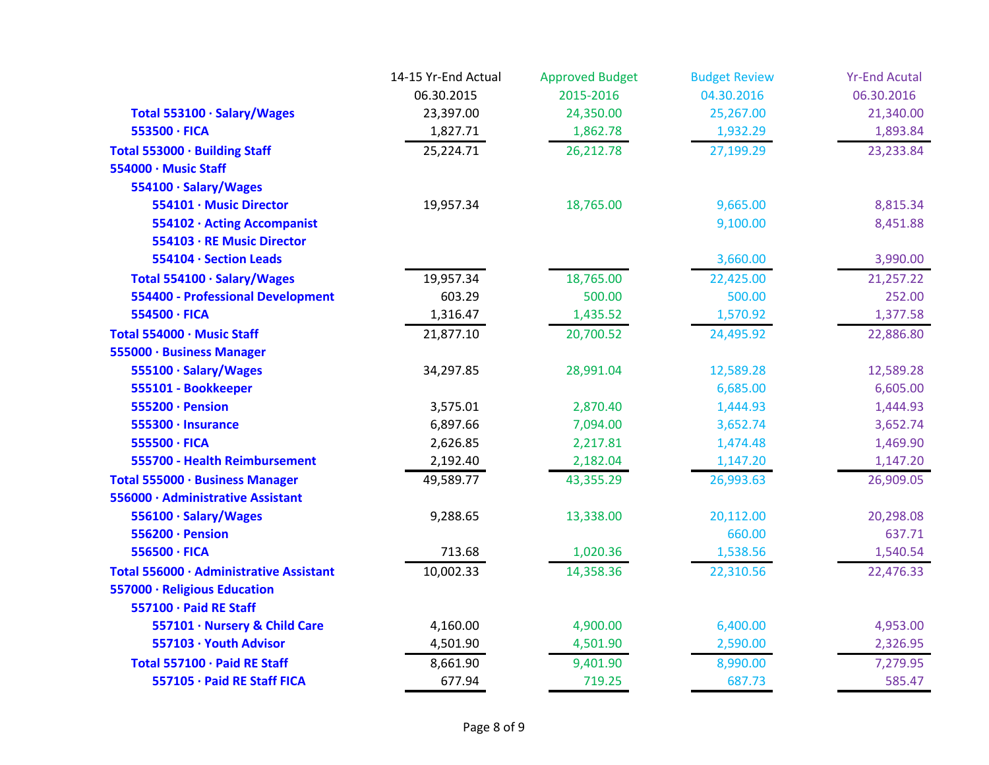|                                          | 14-15 Yr-End Actual | <b>Approved Budget</b> | <b>Budget Review</b> | <b>Yr-End Acutal</b> |
|------------------------------------------|---------------------|------------------------|----------------------|----------------------|
|                                          | 06.30.2015          | 2015-2016              | 04.30.2016           | 06.30.2016           |
| Total 553100 · Salary/Wages              | 23,397.00           | 24,350.00              | 25,267.00            | 21,340.00            |
| 553500 · FICA                            | 1,827.71            | 1,862.78               | 1,932.29             | 1,893.84             |
| Total 553000 · Building Staff            | 25,224.71           | 26,212.78              | 27,199.29            | 23,233.84            |
| 554000 · Music Staff                     |                     |                        |                      |                      |
| 554100 · Salary/Wages                    |                     |                        |                      |                      |
| 554101 · Music Director                  | 19,957.34           | 18,765.00              | 9,665.00             | 8,815.34             |
| 554102 · Acting Accompanist              |                     |                        | 9,100.00             | 8,451.88             |
| 554103 · RE Music Director               |                     |                        |                      |                      |
| 554104 · Section Leads                   |                     |                        | 3,660.00             | 3,990.00             |
| Total 554100 · Salary/Wages              | 19,957.34           | 18,765.00              | 22,425.00            | 21,257.22            |
| <b>554400 - Professional Development</b> | 603.29              | 500.00                 | 500.00               | 252.00               |
| 554500 · FICA                            | 1,316.47            | 1,435.52               | 1,570.92             | 1,377.58             |
| Total 554000 · Music Staff               | 21,877.10           | 20,700.52              | 24,495.92            | 22,886.80            |
| 555000 · Business Manager                |                     |                        |                      |                      |
| 555100 · Salary/Wages                    | 34,297.85           | 28,991.04              | 12,589.28            | 12,589.28            |
| 555101 - Bookkeeper                      |                     |                        | 6,685.00             | 6,605.00             |
| 555200 · Pension                         | 3,575.01            | 2,870.40               | 1,444.93             | 1,444.93             |
| 555300 · Insurance                       | 6,897.66            | 7,094.00               | 3,652.74             | 3,652.74             |
| 555500 · FICA                            | 2,626.85            | 2,217.81               | 1,474.48             | 1,469.90             |
| 555700 - Health Reimbursement            | 2,192.40            | 2,182.04               | 1,147.20             | 1,147.20             |
| Total 555000 · Business Manager          | 49,589.77           | 43,355.29              | 26,993.63            | 26,909.05            |
| 556000 · Administrative Assistant        |                     |                        |                      |                      |
| 556100 · Salary/Wages                    | 9,288.65            | 13,338.00              | 20,112.00            | 20,298.08            |
| 556200 · Pension                         |                     |                        | 660.00               | 637.71               |
| 556500 · FICA                            | 713.68              | 1,020.36               | 1,538.56             | 1,540.54             |
| Total 556000 · Administrative Assistant  | 10,002.33           | 14,358.36              | 22,310.56            | 22,476.33            |
| 557000 · Religious Education             |                     |                        |                      |                      |
| 557100 · Paid RE Staff                   |                     |                        |                      |                      |
| 557101 · Nursery & Child Care            | 4,160.00            | 4,900.00               | 6,400.00             | 4,953.00             |
| 557103 · Youth Advisor                   | 4,501.90            | 4,501.90               | 2,590.00             | 2,326.95             |
| Total 557100 · Paid RE Staff             | 8,661.90            | 9,401.90               | 8,990.00             | 7,279.95             |
| 557105 · Paid RE Staff FICA              | 677.94              | 719.25                 | 687.73               | 585.47               |